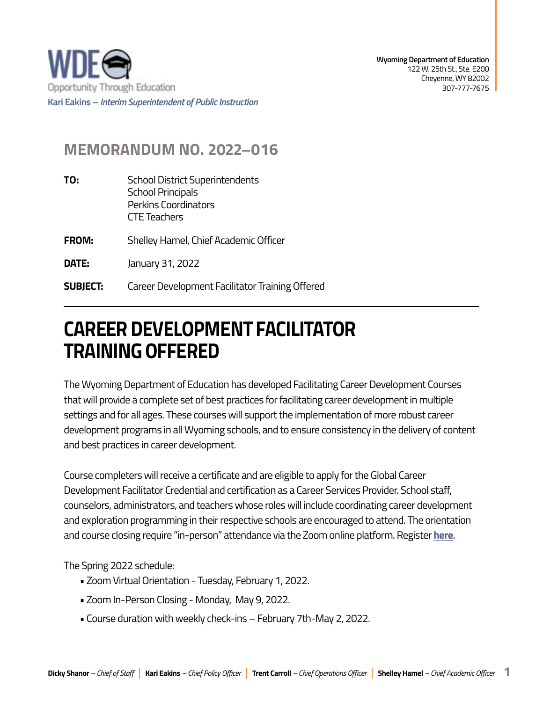

## **MEMORANDUM NO. 2022–016**

- **TO:** School District Superintendents School Principals Perkins Coordinators CTE Teachers
- **FROM:** Shelley Hamel, Chief Academic Officer
- **DATE:** January 31, 2022
- **SUBIECT:** Career Development Facilitator Training Offered

## **CAREER DEVELOPMENT FACILITATOR TRAINING OFFERED**

The Wyoming Department of Education has developed Facilitating Career Development Courses that will provide a complete set of best practices for facilitating career development in multiple settings and for all ages. These courses will support the implementation of more robust career development programs in all Wyoming schools, and to ensure consistency in the delivery of content and best practices in career development.

Course completers will receive a certificate and are eligible to apply for the Global Career Development Facilitator Credential and certification as a Career Services Provider. School staff, counselors, administrators, and teachers whose roles will include coordinating career development and exploration programming in their respective schools are encouraged to attend. The orientation and course closing require "in-person" attendance via the Zoom online platform. Register **[here](https://docs.google.com/forms/d/e/1FAIpQLScqJmGa1mal7YfjsFiOHEGIweuzDh2A35vCOGUTDjIQeMB40g/viewform?usp=sf_link)**.

The Spring 2022 schedule:

- Zoom Virtual Orientation Tuesday, February 1, 2022.
- Zoom In-Person Closing Monday, May 9, 2022.
- Course duration with weekly check-ins February 7th-May 2, 2022.